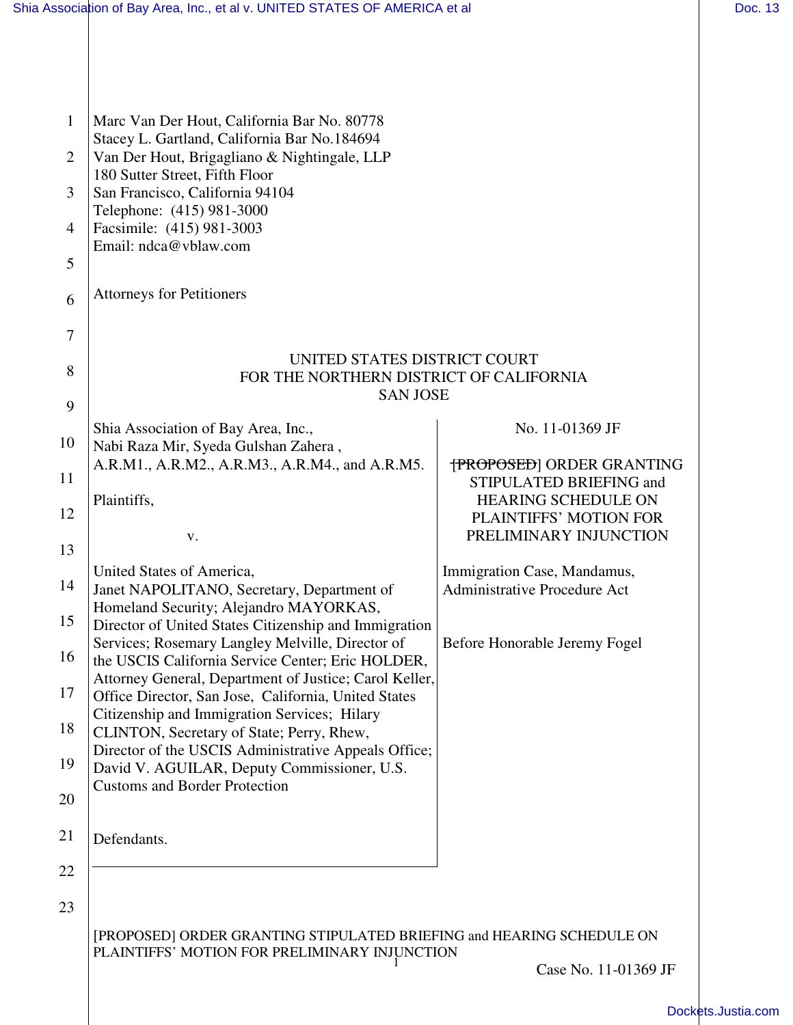|                | Shia Association of Bay Area, Inc., et al v. UNITED STATES OF AMERICA et al                                 |                                                             | Doc. 13 |
|----------------|-------------------------------------------------------------------------------------------------------------|-------------------------------------------------------------|---------|
|                |                                                                                                             |                                                             |         |
|                |                                                                                                             |                                                             |         |
| 1              | Marc Van Der Hout, California Bar No. 80778                                                                 |                                                             |         |
| $\overline{2}$ | Stacey L. Gartland, California Bar No.184694<br>Van Der Hout, Brigagliano & Nightingale, LLP                |                                                             |         |
| 3              | 180 Sutter Street, Fifth Floor<br>San Francisco, California 94104                                           |                                                             |         |
| 4              | Telephone: (415) 981-3000<br>Facsimile: (415) 981-3003                                                      |                                                             |         |
| 5              | Email: ndca@vblaw.com                                                                                       |                                                             |         |
|                | <b>Attorneys for Petitioners</b>                                                                            |                                                             |         |
| 6              |                                                                                                             |                                                             |         |
| 7              |                                                                                                             |                                                             |         |
| 8              | UNITED STATES DISTRICT COURT<br>FOR THE NORTHERN DISTRICT OF CALIFORNIA                                     |                                                             |         |
| 9              | <b>SAN JOSE</b>                                                                                             |                                                             |         |
| 10             | Shia Association of Bay Area, Inc.,<br>Nabi Raza Mir, Syeda Gulshan Zahera,                                 | No. 11-01369 JF                                             |         |
| 11             | A.R.M1., A.R.M2., A.R.M3., A.R.M4., and A.R.M5.                                                             | <b>{PROPOSED}</b> ORDER GRANTING<br>STIPULATED BRIEFING and |         |
| 12             | Plaintiffs,                                                                                                 | <b>HEARING SCHEDULE ON</b><br>PLAINTIFFS' MOTION FOR        |         |
| 13             | V.                                                                                                          | PRELIMINARY INJUNCTION                                      |         |
| 14             | United States of America,                                                                                   | Immigration Case, Mandamus,                                 |         |
|                | Janet NAPOLITANO, Secretary, Department of<br>Homeland Security; Alejandro MAYORKAS,                        | <b>Administrative Procedure Act</b>                         |         |
| 15             | Director of United States Citizenship and Immigration<br>Services; Rosemary Langley Melville, Director of   | Before Honorable Jeremy Fogel                               |         |
| 16             | the USCIS California Service Center; Eric HOLDER,<br>Attorney General, Department of Justice; Carol Keller, |                                                             |         |
| 17             | Office Director, San Jose, California, United States                                                        |                                                             |         |
| 18             | Citizenship and Immigration Services; Hilary<br>CLINTON, Secretary of State; Perry, Rhew,                   |                                                             |         |
| 19             | Director of the USCIS Administrative Appeals Office;<br>David V. AGUILAR, Deputy Commissioner, U.S.         |                                                             |         |
| 20             | <b>Customs and Border Protection</b>                                                                        |                                                             |         |
| 21             | Defendants.                                                                                                 |                                                             |         |
| 22             |                                                                                                             |                                                             |         |
| 23             |                                                                                                             |                                                             |         |
|                | [PROPOSED] ORDER GRANTING STIPULATED BRIEFING and HEARING SCHEDULE ON                                       |                                                             |         |
|                | PLAINTIFFS' MOTION FOR PRELIMINARY INJUNCTION                                                               | Case No. 11-01369 JF                                        |         |

[Dockets.Justia.com](http://dockets.justia.com/)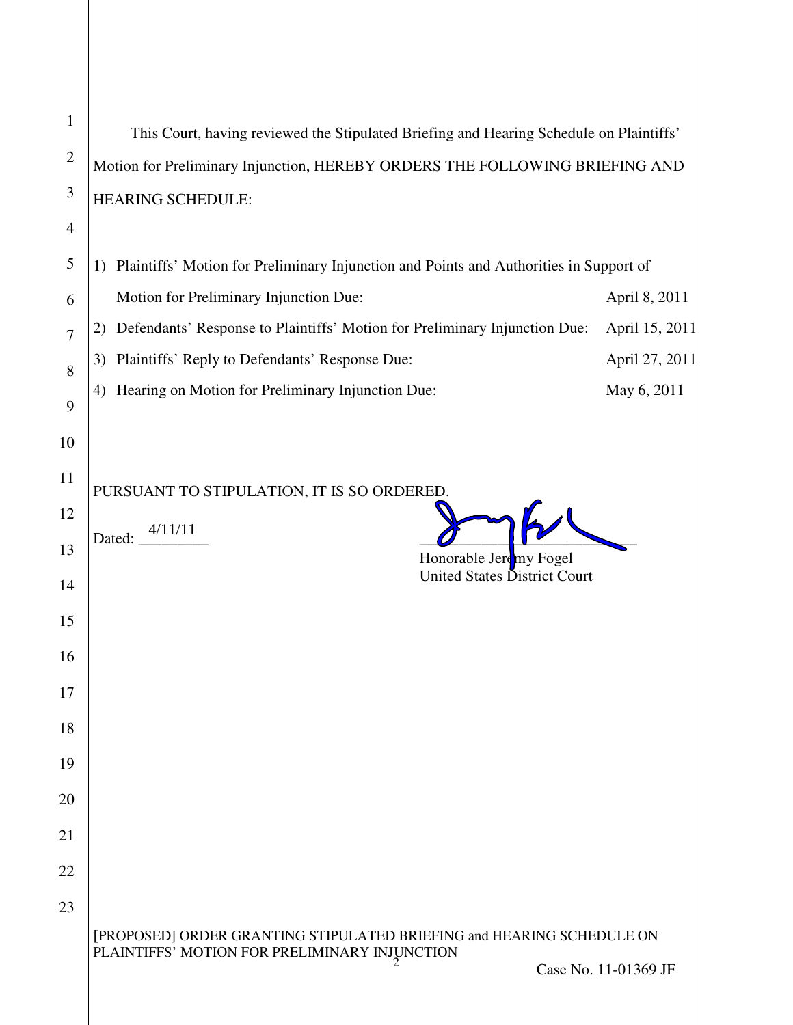| $\mathbf{1}$   | This Court, having reviewed the Stipulated Briefing and Hearing Schedule on Plaintiffs'                                |                      |  |
|----------------|------------------------------------------------------------------------------------------------------------------------|----------------------|--|
| $\overline{2}$ | Motion for Preliminary Injunction, HEREBY ORDERS THE FOLLOWING BRIEFING AND                                            |                      |  |
| 3              | HEARING SCHEDULE:                                                                                                      |                      |  |
| 4              |                                                                                                                        |                      |  |
| 5              | 1) Plaintiffs' Motion for Preliminary Injunction and Points and Authorities in Support of                              |                      |  |
| 6              | Motion for Preliminary Injunction Due:                                                                                 | April 8, 2011        |  |
| $\overline{7}$ | Defendants' Response to Plaintiffs' Motion for Preliminary Injunction Due:<br>2)                                       | April 15, 2011       |  |
| 8              | Plaintiffs' Reply to Defendants' Response Due:<br>3)                                                                   | April 27, 2011       |  |
| 9              | Hearing on Motion for Preliminary Injunction Due:<br>4)                                                                | May 6, 2011          |  |
| 10             |                                                                                                                        |                      |  |
| 11             | PURSUANT TO STIPULATION, IT IS SO ORDERED.                                                                             |                      |  |
| 12             |                                                                                                                        |                      |  |
| 13             | 4/11/11<br>Dated:<br>Honorable Jeremy Fogel                                                                            |                      |  |
| 14             | United States District Court                                                                                           |                      |  |
| 15             |                                                                                                                        |                      |  |
| 16             |                                                                                                                        |                      |  |
| 17             |                                                                                                                        |                      |  |
| 18             |                                                                                                                        |                      |  |
| 19             |                                                                                                                        |                      |  |
| 20             |                                                                                                                        |                      |  |
| 21             |                                                                                                                        |                      |  |
| 22             |                                                                                                                        |                      |  |
| 23             |                                                                                                                        |                      |  |
|                | [PROPOSED] ORDER GRANTING STIPULATED BRIEFING and HEARING SCHEDULE ON<br>PLAINTIFFS' MOTION FOR PRELIMINARY INJUNCTION | Case No. 11-01369 JF |  |